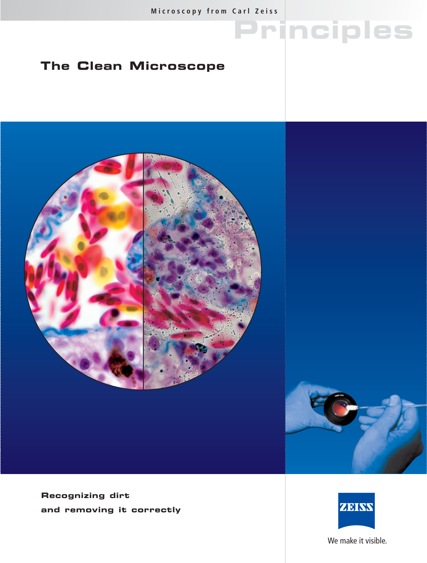**Principles**

## **The Clean Microscope**



**Recognizing dirt and removing it correctly**



We make it visible.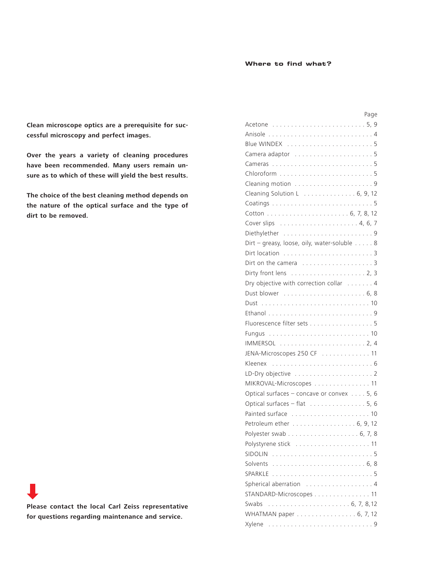### **Where to find what?**

**Clean microscope optics are a prerequisite for successful microscopy and perfect images.**

**Over the years a variety of cleaning procedures have been recommended. Many users remain unsure as to which of these will yield the best results.** 

**The choice of the best cleaning method depends on the nature of the optical surface and the type of dirt to be removed.**

| Please contact the local Carl Zeiss representative |
|----------------------------------------------------|
| for questions regarding maintenance and service.   |

**COL** 

| Page                                        |
|---------------------------------------------|
|                                             |
|                                             |
|                                             |
| Camera adaptor 5                            |
|                                             |
|                                             |
|                                             |
| Cleaning Solution L 6, 9, 12                |
|                                             |
|                                             |
|                                             |
|                                             |
| Dirt - greasy, loose, oily, water-soluble 8 |
|                                             |
|                                             |
|                                             |
| Dry objective with correction collar 4      |
|                                             |
|                                             |
|                                             |
| Fluorescence filter sets 5                  |
|                                             |
|                                             |
| JENA-Microscopes 250 CF  11                 |
|                                             |
|                                             |
| MIKROVAL-Microscopes 11                     |
| Optical surfaces - concave or convex 5, 6   |
| Optical surfaces - flat 5, 6                |
| Painted surface  10                         |
| Petroleum ether 6, 9, 12                    |
|                                             |
|                                             |
| SIDOLIN                                     |
| Solvents                                    |
| SPARKLE                                     |
| Spherical aberration  4                     |
| STANDARD-Microscopes 11                     |
| Swabs                                       |
| WHATMAN paper 6, 7, 12                      |
|                                             |
|                                             |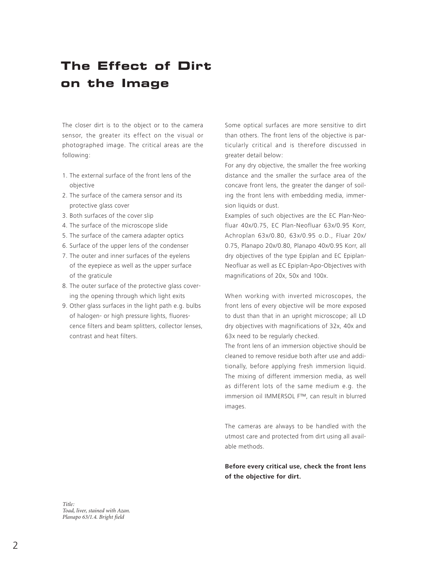# **The Effect of Dirt on the Image**

The closer dirt is to the object or to the camera sensor, the greater its effect on the visual or photographed image. The critical areas are the following:

- 1. The external surface of the front lens of the objective
- 2. The surface of the camera sensor and its protective glass cover
- 3. Both surfaces of the cover slip
- 4. The surface of the microscope slide
- 5. The surface of the camera adapter optics
- 6. Surface of the upper lens of the condenser
- 7. The outer and inner surfaces of the eyelens of the eyepiece as well as the upper surface of the graticule
- 8. The outer surface of the protective glass covering the opening through which light exits
- 9. Other glass surfaces in the light path e.g. bulbs of halogen- or high pressure lights, fluorescence filters and beam splitters, collector lenses, contrast and heat filters.

Some optical surfaces are more sensitive to dirt than others. The front lens of the objective is particularly critical and is therefore discussed in greater detail below:

For any dry objective, the smaller the free working distance and the smaller the surface area of the concave front lens, the greater the danger of soiling the front lens with embedding media, immersion liquids or dust.

Examples of such objectives are the EC Plan-Neofluar 40x/0.75, EC Plan-Neofluar 63x/0.95 Korr, Achroplan 63x/0.80, 63x/0.95 o.D., Fluar 20x/ 0.75, Planapo 20x/0.80, Planapo 40x/0.95 Korr, all dry objectives of the type Epiplan and EC Epiplan-Neofluar as well as EC Epiplan-Apo-Objectives with magnifications of 20x, 50x and 100x.

When working with inverted microscopes, the front lens of every objective will be more exposed to dust than that in an upright microscope; all LD dry objectives with magnifications of 32x, 40x and 63x need to be regularly checked.

The front lens of an immersion objective should be cleaned to remove residue both after use and additionally, before applying fresh immersion liquid. The mixing of different immersion media, as well as different lots of the same medium e.g. the immersion oil IMMERSOL F™, can result in blurred images.

The cameras are always to be handled with the utmost care and protected from dirt using all available methods.

**Before every critical use, check the front lens of the objective for dirt.**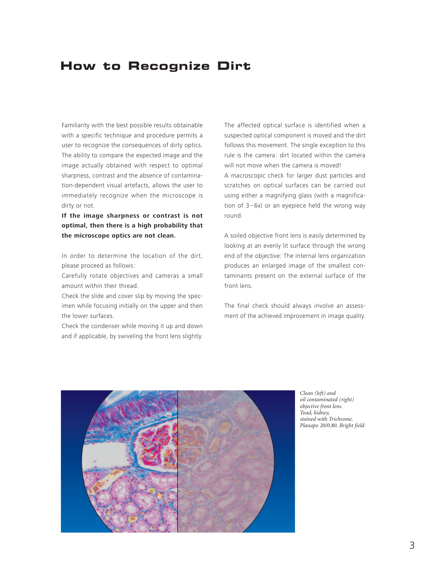## **How to Recognize Dirt**

Familiarity with the best possible results obtainable with a specific technique and procedure permits a user to recognize the consequences of dirty optics. The ability to compare the expected image and the image actually obtained with respect to optimal sharpness, contrast and the absence of contamination-dependent visual artefacts, allows the user to immediately recognize when the microscope is dirty or not.

**If the image sharpness or contrast is not optimal, then there is a high probability that the microscope optics are not clean.** 

In order to determine the location of the dirt, please proceed as follows:

Carefully rotate objectives and cameras a small amount within their thread.

Check the slide and cover slip by moving the specimen while focusing initially on the upper and then the lower surfaces.

Check the condenser while moving it up and down and if applicable, by swiveling the front lens slightly. The affected optical surface is identified when a suspected optical component is moved and the dirt follows this movement. The single exception to this rule is the camera: dirt located within the camera will not move when the camera is moved! A macroscopic check for larger dust particles and scratches on optical surfaces can be carried out using either a magnifying glass (with a magnification of 3–6x) or an eyepiece held the wrong way round.

A soiled objective front lens is easily determined by looking at an evenly lit surface through the wrong end of the objective: The internal lens organization produces an enlarged image of the smallest contaminants present on the external surface of the front lens.

The final check should always involve an assessment of the achieved improvement in image quality.



*Clean (left) and oil contaminated (right) objective front lens. Toad, kidney, stained with Trichrome. Planapo 20/0.80. Bright field*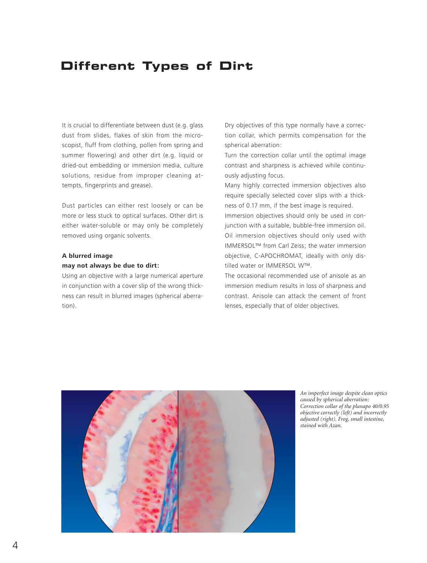## **Different Types of Dirt**

It is crucial to differentiate between dust (e.g. glass dust from slides, flakes of skin from the microscopist, fluff from clothing, pollen from spring and summer flowering) and other dirt (e.g. liquid or dried-out embedding or immersion media, culture solutions, residue from improper cleaning attempts, fingerprints and grease).

Dust particles can either rest loosely or can be more or less stuck to optical surfaces. Other dirt is either water-soluble or may only be completely removed using organic solvents.

#### **A blurred image may not always be due to dirt:**

Using an objective with a large numerical aperture in conjunction with a cover slip of the wrong thickness can result in blurred images (spherical aberration).

Dry objectives of this type normally have a correction collar, which permits compensation for the spherical aberration:

Turn the correction collar until the optimal image contrast and sharpness is achieved while continuously adjusting focus.

Many highly corrected immersion objectives also require specially selected cover slips with a thickness of 0.17 mm, if the best image is required.

Immersion objectives should only be used in conjunction with a suitable, bubble-free immersion oil. Oil immersion objectives should only used with IMMERSOL™ from Carl Zeiss; the water immersion objective, C-APOCHROMAT, ideally with only distilled water or IMMERSOL W™.

The occasional recommended use of anisole as an immersion medium results in loss of sharpness and contrast. Anisole can attack the cement of front lenses, especially that of older objectives.



*An imperfect image despite clean optics caused by spherical aberration: Correction collar of the planapo 40/0.95 objective correctly (left) and incorrectly adjusted (right). Frog, small intestine, stained with Azan.*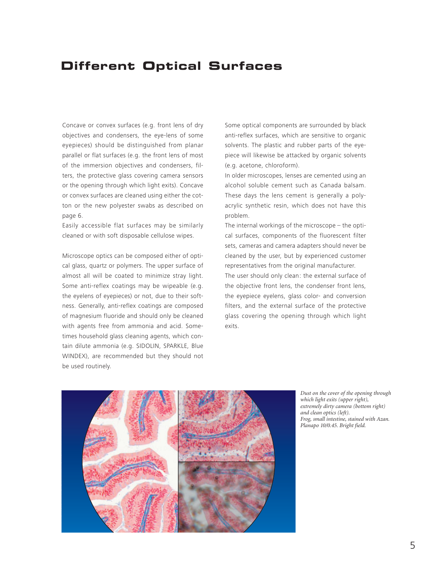## **Different Optical Surfaces**

Concave or convex surfaces (e.g. front lens of dry objectives and condensers, the eye-lens of some eyepieces) should be distinguished from planar parallel or flat surfaces (e.g. the front lens of most of the immersion objectives and condensers, filters, the protective glass covering camera sensors or the opening through which light exits). Concave or convex surfaces are cleaned using either the cotton or the new polyester swabs as described on page 6.

Easily accessible flat surfaces may be similarly cleaned or with soft disposable cellulose wipes.

Microscope optics can be composed either of optical glass, quartz or polymers. The upper surface of almost all will be coated to minimize stray light. Some anti-reflex coatings may be wipeable (e.g. the eyelens of eyepieces) or not, due to their softness. Generally, anti-reflex coatings are composed of magnesium fluoride and should only be cleaned with agents free from ammonia and acid. Sometimes household glass cleaning agents, which contain dilute ammonia (e.g. SIDOLIN, SPARKLE, Blue WINDEX), are recommended but they should not be used routinely.

Some optical components are surrounded by black anti-reflex surfaces, which are sensitive to organic solvents. The plastic and rubber parts of the eyepiece will likewise be attacked by organic solvents (e.g. acetone, chloroform).

In older microscopes, lenses are cemented using an alcohol soluble cement such as Canada balsam. These days the lens cement is generally a polyacrylic synthetic resin, which does not have this problem.

The internal workings of the microscope – the optical surfaces, components of the fluorescent filter sets, cameras and camera adapters should never be cleaned by the user, but by experienced customer representatives from the original manufacturer.

The user should only clean: the external surface of the objective front lens, the condenser front lens, the eyepiece eyelens, glass color- and conversion filters, and the external surface of the protective glass covering the opening through which light exits.



*Dust on the cover of the opening through which light exits (upper right), extremely dirty camera (bottom right) and clean optics (left). Frog, small intestine, stained with Azan. Planapo 10/0.45. Bright field.*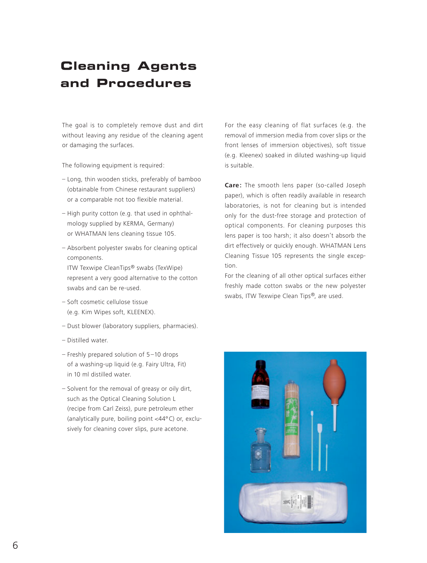## **Cleaning Agents and Procedures**

The goal is to completely remove dust and dirt without leaving any residue of the cleaning agent or damaging the surfaces.

The following equipment is required:

- Long, thin wooden sticks, preferably of bamboo (obtainable from Chinese restaurant suppliers) or a comparable not too flexible material.
- High purity cotton (e.g. that used in ophthalmology supplied by KERMA, Germany) or WHATMAN lens cleaning tissue 105.
- Absorbent polyester swabs for cleaning optical components. ITW Texwipe CleanTips® swabs (TexWipe)

represent a very good alternative to the cotton swabs and can be re-used.

- Soft cosmetic cellulose tissue (e.g. Kim Wipes soft, KLEENEX).
- Dust blower (laboratory suppliers, pharmacies).
- Distilled water.
- Freshly prepared solution of 5 –10 drops of a washing-up liquid (e.g. Fairy Ultra, Fit) in 10 ml distilled water.
- Solvent for the removal of greasy or oily dirt, such as the Optical Cleaning Solution L (recipe from Carl Zeiss), pure petroleum ether (analytically pure, boiling point <44º C) or, exclusively for cleaning cover slips, pure acetone.

For the easy cleaning of flat surfaces (e.g. the removal of immersion media from cover slips or the front lenses of immersion objectives), soft tissue (e.g. Kleenex) soaked in diluted washing-up liquid is suitable.

**Care:** The smooth lens paper (so-called Joseph paper), which is often readily available in research laboratories, is not for cleaning but is intended only for the dust-free storage and protection of optical components. For cleaning purposes this lens paper is too harsh; it also doesn't absorb the dirt effectively or quickly enough. WHATMAN Lens Cleaning Tissue 105 represents the single exception.

For the cleaning of all other optical surfaces either freshly made cotton swabs or the new polyester swabs, ITW Texwipe Clean Tips®, are used.

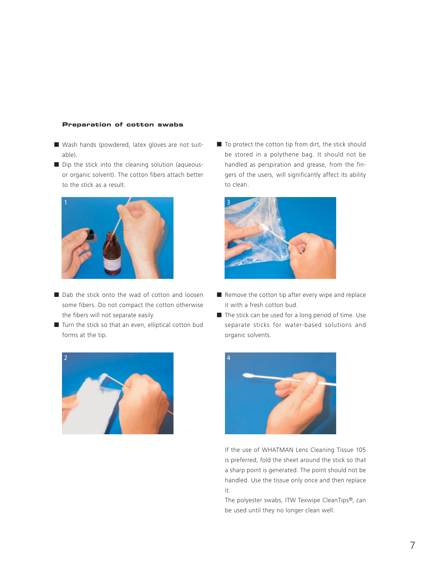#### **Preparation of cotton swabs**

- Wash hands (powdered, latex gloves are not suitable).
- Dip the stick into the cleaning solution (aqueousor organic solvent). The cotton fibers attach better to the stick as a result.



- Dab the stick onto the wad of cotton and loosen some fibers. Do not compact the cotton otherwise the fibers will not separate easily.
- Turn the stick so that an even, elliptical cotton bud forms at the tip.



■ To protect the cotton tip from dirt, the stick should be stored in a polythene bag. It should not be handled as perspiration and grease, from the fingers of the users, will significantly affect its ability to clean.



- Remove the cotton tip after every wipe and replace it with a fresh cotton bud.
- The stick can be used for a long period of time. Use separate sticks for water-based solutions and organic solvents.



If the use of WHATMAN Lens Cleaning Tissue 105 is preferred, fold the sheet around the stick so that a sharp point is generated. The point should not be handled. Use the tissue only once and then replace it.

The polyester swabs, ITW Texwipe CleanTips®, can be used until they no longer clean well.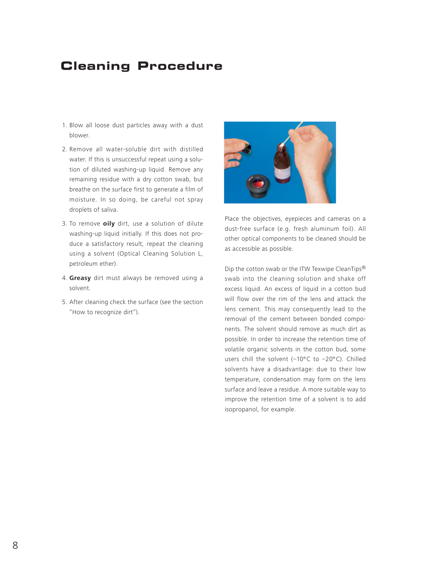## **Cleaning Procedure**

- 1. Blow all loose dust particles away with a dust blower.
- 2. Remove all water-soluble dirt with distilled water. If this is unsuccessful repeat using a solution of diluted washing-up liquid. Remove any remaining residue with a dry cotton swab, but breathe on the surface first to generate a film of moisture. In so doing, be careful not spray droplets of saliva.
- 3. To remove **oily** dirt, use a solution of dilute washing-up liquid initially. If this does not produce a satisfactory result, repeat the cleaning using a solvent (Optical Cleaning Solution L, petroleum ether).
- 4. **Greasy** dirt must always be removed using a solvent.
- 5. After cleaning check the surface (see the section "How to recognize dirt").



Place the objectives, eyepieces and cameras on a dust-free surface (e.g. fresh aluminum foil). All other optical components to be cleaned should be as accessible as possible.

Dip the cotton swab or the ITW Texwipe CleanTips® swab into the cleaning solution and shake off excess liquid. An excess of liquid in a cotton bud will flow over the rim of the lens and attack the lens cement. This may consequently lead to the removal of the cement between bonded components. The solvent should remove as much dirt as possible. In order to increase the retention time of volatile organic solvents in the cotton bud, some users chill the solvent (-10°C to -20°C). Chilled solvents have a disadvantage: due to their low temperature, condensation may form on the lens surface and leave a residue. A more suitable way to improve the retention time of a solvent is to add isopropanol, for example.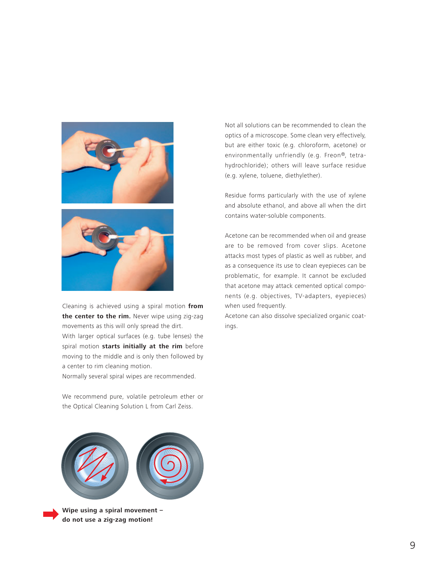



Cleaning is achieved using a spiral motion **from** the center to the rim. Never wipe using zig-zag movements as this will only spread the dirt. With larger optical surfaces (e.g. tube lenses) the spiral motion **starts initially at the rim** before moving to the middle and is only then followed by a center to rim cleaning motion.

Normally several spiral wipes are recommended.

We recommend pure, volatile petroleum ether or the Optical Cleaning Solution L from Carl Zeiss.

**Wipe using a spiral movement –** 

**do not use a zig-zag motion!**

Not all solutions can be recommended to clean the optics of a microscope. Some clean very effectively, but are either toxic (e.g. chloroform, acetone) or environmentally unfriendly (e.g. Freon®, tetrahydrochloride); others will leave surface residue (e.g. xylene, toluene, diethylether).

Residue forms particularly with the use of xylene and absolute ethanol, and above all when the dirt contains water-soluble components.

Acetone can be recommended when oil and grease are to be removed from cover slips. Acetone attacks most types of plastic as well as rubber, and as a consequence its use to clean eyepieces can be problematic, for example. It cannot be excluded that acetone may attack cemented optical components (e.g. objectives, TV-adapters, eyepieces) when used frequently.

Acetone can also dissolve specialized organic coatings.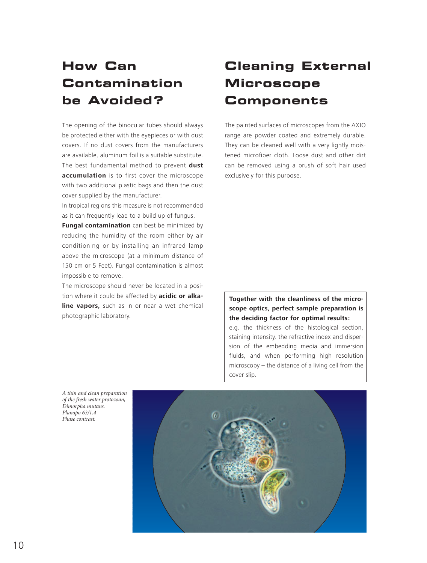# **How Can Contamination be Avoided ?**

The opening of the binocular tubes should always be protected either with the eyepieces or with dust covers. If no dust covers from the manufacturers are available, aluminum foil is a suitable substitute. The best fundamental method to prevent **dust accumulation** is to first cover the microscope with two additional plastic bags and then the dust cover supplied by the manufacturer.

In tropical regions this measure is not recommended as it can frequently lead to a build up of fungus.

**Fungal contamination** can best be minimized by reducing the humidity of the room either by air conditioning or by installing an infrared lamp above the microscope (at a minimum distance of 150 cm or 5 Feet). Fungal contamination is almost impossible to remove.

The microscope should never be located in a position where it could be affected by **acidic or alkaline vapors,** such as in or near a wet chemical photographic laboratory.

# **Cleaning External Microscope Components**

The painted surfaces of microscopes from the AXIO range are powder coated and extremely durable. They can be cleaned well with a very lightly moistened microfiber cloth. Loose dust and other dirt can be removed using a brush of soft hair used exclusively for this purpose.

### **Together with the cleanliness of the microscope optics, perfect sample preparation is the deciding factor for optimal results:**

e.g. the thickness of the histological section, staining intensity, the refractive index and dispersion of the embedding media and immersion fluids, and when performing high resolution microscopy – the distance of a living cell from the cover slip.

*A thin and clean preparation of the fresh water protozoan, Dimorpha mutans. Planapo 63/1.4 Phase contrast.*

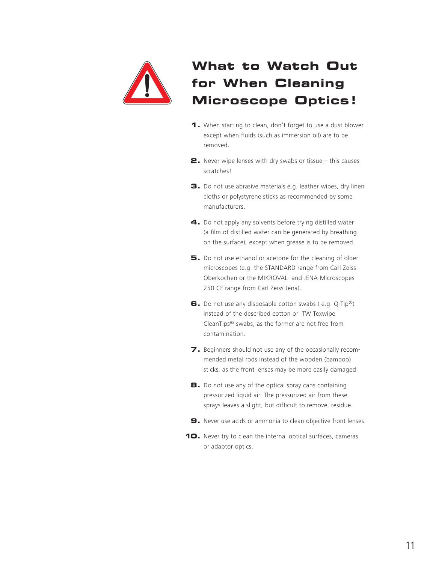

# **What to Watch Out for When Cleaning Microscope Optics!**

- **1.** When starting to clean, don't forget to use a dust blower except when fluids (such as immersion oil) are to be removed.
- **2.** Never wipe lenses with dry swabs or tissue this causes scratches!
- **3.** Do not use abrasive materials e.g. leather wipes, dry linen cloths or polystyrene sticks as recommended by some manufacturers.
- **4.** Do not apply any solvents before trying distilled water (a film of distilled water can be generated by breathing on the surface), except when grease is to be removed.
- **5.** Do not use ethanol or acetone for the cleaning of older microscopes (e.g. the STANDARD range from Carl Zeiss Oberkochen or the MIKROVAL- and JENA-Microscopes 250 CF range from Carl Zeiss Jena).
- **6.** Do not use any disposable cotton swabs ( e.g. Q-Tip®) instead of the described cotton or ITW Texwipe CleanTips® swabs, as the former are not free from contamination.
- **7.** Beginners should not use any of the occasionally recommended metal rods instead of the wooden (bamboo) sticks, as the front lenses may be more easily damaged.
- **8.** Do not use any of the optical spray cans containing pressurized liquid air. The pressurized air from these sprays leaves a slight, but difficult to remove, residue.
- **9.** Never use acids or ammonia to clean objective front lenses.
- **10.** Never try to clean the internal optical surfaces, cameras or adaptor optics.